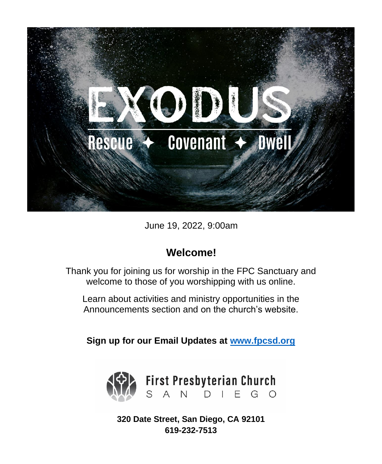

June 19, 2022, 9:00am

# **Welcome!**

Thank you for joining us for worship in the FPC Sanctuary and welcome to those of you worshipping with us online.

Learn about activities and ministry opportunities in the Announcements section and on the church's website.

**Sign up for our Email Updates at [www.fpcsd.org](http://www.fpcsd.org/)**



**320 Date Street, San Diego, CA 92101 619-232-7513**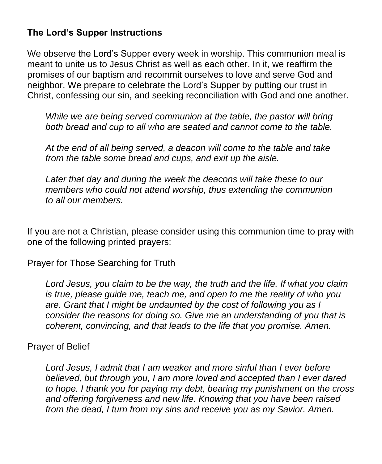### **The Lord's Supper Instructions**

We observe the Lord's Supper every week in worship. This communion meal is meant to unite us to Jesus Christ as well as each other. In it, we reaffirm the promises of our baptism and recommit ourselves to love and serve God and neighbor. We prepare to celebrate the Lord's Supper by putting our trust in Christ, confessing our sin, and seeking reconciliation with God and one another.

*While we are being served communion at the table, the pastor will bring both bread and cup to all who are seated and cannot come to the table.*

*At the end of all being served, a deacon will come to the table and take from the table some bread and cups, and exit up the aisle.*

*Later that day and during the week the deacons will take these to our members who could not attend worship, thus extending the communion to all our members.*

If you are not a Christian, please consider using this communion time to pray with one of the following printed prayers:

Prayer for Those Searching for Truth

*Lord Jesus, you claim to be the way, the truth and the life. If what you claim is true, please guide me, teach me, and open to me the reality of who you are. Grant that I might be undaunted by the cost of following you as I consider the reasons for doing so. Give me an understanding of you that is coherent, convincing, and that leads to the life that you promise. Amen.* 

#### Prayer of Belief

*Lord Jesus, I admit that I am weaker and more sinful than I ever before believed, but through you, I am more loved and accepted than I ever dared to hope. I thank you for paying my debt, bearing my punishment on the cross and offering forgiveness and new life. Knowing that you have been raised from the dead, I turn from my sins and receive you as my Savior. Amen.*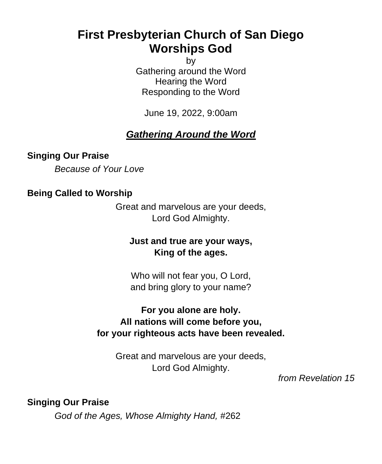# **First Presbyterian Church of San Diego Worships God**

by

Gathering around the Word Hearing the Word Responding to the Word

June 19, 2022, 9:00am

# *Gathering Around the Word*

### **Singing Our Praise**

*Because of Your Love*

#### **Being Called to Worship**

Great and marvelous are your deeds, Lord God Almighty.

#### **Just and true are your ways, King of the ages.**

Who will not fear you, O Lord, and bring glory to your name?

### **For you alone are holy. All nations will come before you, for your righteous acts have been revealed.**

Great and marvelous are your deeds, Lord God Almighty.

*from Revelation 15*

**Singing Our Praise**

*God of the Ages, Whose Almighty Hand,* #262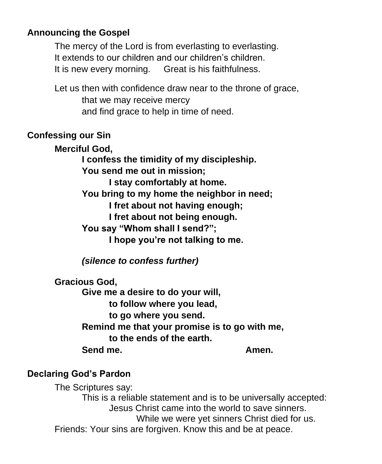### **Announcing the Gospel**

The mercy of the Lord is from everlasting to everlasting. It extends to our children and our children's children. It is new every morning. Great is his faithfulness.

Let us then with confidence draw near to the throne of grace, that we may receive mercy and find grace to help in time of need.

#### **Confessing our Sin**

**Merciful God, I confess the timidity of my discipleship. You send me out in mission; I stay comfortably at home. You bring to my home the neighbor in need; I fret about not having enough; I fret about not being enough. You say "Whom shall I send?"; I hope you're not talking to me.**

*(silence to confess further)*

**Gracious God,**

**Give me a desire to do your will, to follow where you lead, to go where you send. Remind me that your promise is to go with me, to the ends of the earth. Send me. Amen.**

### **Declaring God's Pardon**

The Scriptures say: This is a reliable statement and is to be universally accepted: Jesus Christ came into the world to save sinners. While we were yet sinners Christ died for us. Friends: Your sins are forgiven. Know this and be at peace.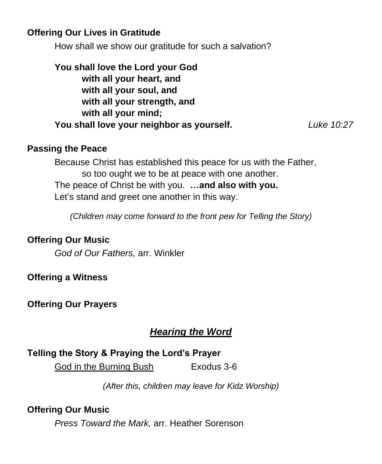### **Offering Our Lives in Gratitude**

How shall we show our gratitude for such a salvation?

**You shall love the Lord your God with all your heart, and with all your soul, and with all your strength, and with all your mind; You shall love your neighbor as yourself.** *Luke 10:27*

#### **Passing the Peace**

Because Christ has established this peace for us with the Father, so too ought we to be at peace with one another. The peace of Christ be with you. **…and also with you.** Let's stand and greet one another in this way.

*(Children may come forward to the front pew for Telling the Story)*

### **Offering Our Music**

*God of Our Fathers,* arr. Winkler

**Offering a Witness**

**Offering Our Prayers**

# *Hearing the Word*

# **Telling the Story & Praying the Lord's Prayer**

God in the Burning Bush Exodus 3-6

*(After this, children may leave for Kidz Worship)*

### **Offering Our Music**

*Press Toward the Mark,* arr. Heather Sorenson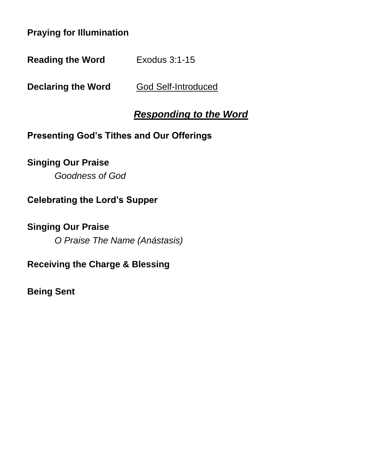### **Praying for Illumination**

**Reading the Word** Exodus 3:1-15

**Declaring the Word God Self-Introduced** 

# *Responding to the Word*

### **Presenting God's Tithes and Our Offerings**

### **Singing Our Praise**

*Goodness of God*

# **Celebrating the Lord's Supper**

**Singing Our Praise** *O Praise The Name (Anástasis)*

# **Receiving the Charge & Blessing**

**Being Sent**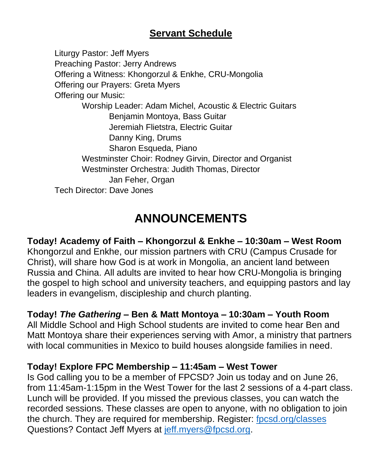# **Servant Schedule**

Liturgy Pastor: Jeff Myers Preaching Pastor: Jerry Andrews Offering a Witness: Khongorzul & Enkhe, CRU-Mongolia Offering our Prayers: Greta Myers Offering our Music: Worship Leader: Adam Michel, Acoustic & Electric Guitars Benjamin Montoya, Bass Guitar Jeremiah Flietstra, Electric Guitar Danny King, Drums Sharon Esqueda, Piano Westminster Choir: Rodney Girvin, Director and Organist Westminster Orchestra: Judith Thomas, Director Jan Feher, Organ Tech Director: Dave Jones

# **ANNOUNCEMENTS**

**Today! Academy of Faith – Khongorzul & Enkhe – 10:30am – West Room** Khongorzul and Enkhe, our mission partners with CRU (Campus Crusade for Christ), will share how God is at work in Mongolia, an ancient land between Russia and China. All adults are invited to hear how CRU-Mongolia is bringing the gospel to high school and university teachers, and equipping pastors and lay leaders in evangelism, discipleship and church planting.

### **Today!** *The Gathering* **– Ben & Matt Montoya – 10:30am – Youth Room**

All Middle School and High School students are invited to come hear Ben and Matt Montoya share their experiences serving with Amor, a ministry that partners with local communities in Mexico to build houses alongside families in need.

### **Today! Explore FPC Membership – 11:45am – West Tower**

Is God calling you to be a member of FPCSD? Join us today and on June 26, from 11:45am-1:15pm in the West Tower for the last 2 sessions of a 4-part class. Lunch will be provided. If you missed the previous classes, you can watch the recorded sessions. These classes are open to anyone, with no obligation to join the church. They are required for membership. Register: [fpcsd.org/classes](https://www.fpcsd.org/classes) Questions? Contact Jeff Myers at [jeff.myers@fpcsd.org.](mailto:jeff.myers@fpcsd.org)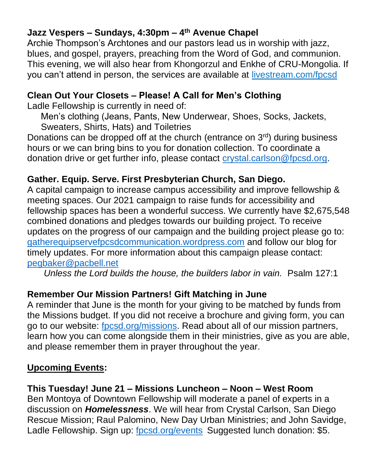# **Jazz Vespers – Sundays, 4:30pm – 4 th Avenue Chapel**

Archie Thompson's Archtones and our pastors lead us in worship with jazz, blues, and gospel, prayers, preaching from the Word of God, and communion. This evening, we will also hear from Khongorzul and Enkhe of CRU-Mongolia. If you can't attend in person, the services are available at [livestream.com/fpcsd](https://livestream.com/fpcsd)

# **Clean Out Your Closets – Please! A Call for Men's Clothing**

Ladle Fellowship is currently in need of:

Men's clothing (Jeans, Pants, New Underwear, Shoes, Socks, Jackets, Sweaters, Shirts, Hats) and Toiletries

Donations can be dropped off at the church (entrance on  $3<sup>rd</sup>$ ) during business hours or we can bring bins to you for donation collection. To coordinate a donation drive or get further info, please contact [crystal.carlson@fpcsd.org.](mailto:crystal.carlson@fpcsd.org)

# **Gather. Equip. Serve. First Presbyterian Church, San Diego.**

A capital campaign to increase campus accessibility and improve fellowship & meeting spaces. Our 2021 campaign to raise funds for accessibility and fellowship spaces has been a wonderful success. We currently have \$2,675,548 combined donations and pledges towards our building project. To receive updates on the progress of our campaign and the building project please go to: [gatherequipservefpcsdcommunication.wordpress.com](https://gatherequipservefpcsdcommunication.wordpress.com/) and follow our blog for timely updates. For more information about this campaign please contact: [pegbaker@pacbell.net](mailto:pegbaker@pacbell.net)

*Unless the Lord builds the house, the builders labor in vain.* Psalm 127:1

# **Remember Our Mission Partners! Gift Matching in June**

A reminder that June is the month for your giving to be matched by funds from the Missions budget. If you did not receive a brochure and giving form, you can go to our website: [fpcsd.org/missions.](https://www.fpcsd.org/missions) Read about all of our mission partners, learn how you can come alongside them in their ministries, give as you are able, and please remember them in prayer throughout the year.

# **Upcoming Events:**

# **This Tuesday! June 21 – Missions Luncheon – Noon – West Room**

Ben Montoya of Downtown Fellowship will moderate a panel of experts in a discussion on *Homelessness*. We will hear from Crystal Carlson, San Diego Rescue Mission; Raul Palomino, New Day Urban Ministries; and John Savidge, Ladle Fellowship. Sign up: [fpcsd.org/events](https://www.fpcsd.org/events) Suggested lunch donation: \$5.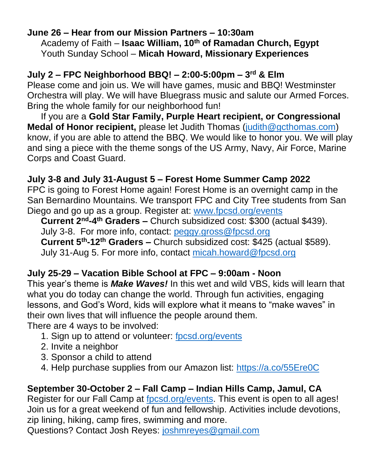### **June 26 – Hear from our Mission Partners – 10:30am** Academy of Faith – **Isaac William, 10th of Ramadan Church, Egypt** Youth Sunday School – **Micah Howard, Missionary Experiences**

# **July 2 – FPC Neighborhood BBQ! – 2:00-5:00pm – 3 rd & Elm**

Please come and join us. We will have games, music and BBQ! Westminster Orchestra will play. We will have Bluegrass music and salute our Armed Forces. Bring the whole family for our neighborhood fun!

If you are a **Gold Star Family, Purple Heart recipient, or Congressional Medal of Honor recipient,** please let Judith Thomas [\(judith@gcthomas.com\)](mailto:judith@gcthomas.com) know, if you are able to attend the BBQ. We would like to honor you. We will play and sing a piece with the theme songs of the US Army, Navy, Air Force, Marine Corps and Coast Guard.

# **July 3-8 and July 31-August 5 – Forest Home Summer Camp 2022**

FPC is going to Forest Home again! Forest Home is an overnight camp in the San Bernardino Mountains. We transport FPC and City Tree students from San Diego and go up as a group. Register at: [www.fpcsd.org/events](https://www.fpcsd.org/events)

**Current 2nd-4 th Graders –** Church subsidized cost: \$300 (actual \$439). July 3-8. For more info, contact: [peggy.gross@fpcsd.org](mailto:peggy.gross@fpcsd.org) **Current 5th-12th Graders –** Church subsidized cost: \$425 (actual \$589). July 31-Aug 5. For more info, contact [micah.howard@fpcsd.org](mailto:micah.howard@fpcsd.org)

# **July 25-29 – Vacation Bible School at FPC – 9:00am - Noon**

This year's theme is *Make Waves!* In this wet and wild VBS, kids will learn that what you do today can change the world. Through fun activities, engaging lessons, and God's Word, kids will explore what it means to "make waves" in their own lives that will influence the people around them.

There are 4 ways to be involved:

- 1. Sign up to attend or volunteer: [fpcsd.org/events](https://www.fpcsd.org/events)
- 2. Invite a neighbor
- 3. Sponsor a child to attend
- 4. Help purchase supplies from our Amazon list:<https://a.co/55Ere0C>

# **September 30-October 2 – Fall Camp – Indian Hills Camp, Jamul, CA**

Register for our Fall Camp at [fpcsd.org/events.](https://www.fpcsd.org/events) This event is open to all ages! Join us for a great weekend of fun and fellowship. Activities include devotions, zip lining, hiking, camp fires, swimming and more.

Questions? Contact Josh Reyes: [joshmreyes@gmail.com](mailto:joshmreyes@gmail.com)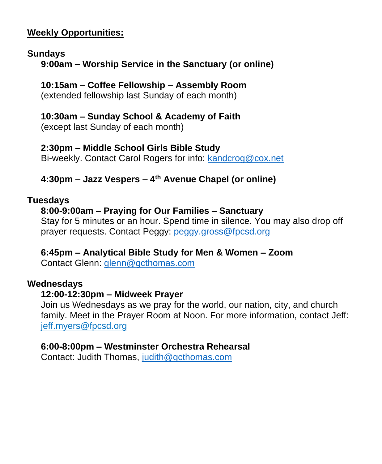### **Weekly Opportunities:**

### **Sundays**

**9:00am – Worship Service in the Sanctuary (or online)**

# **10:15am – Coffee Fellowship – Assembly Room**

(extended fellowship last Sunday of each month)

## **10:30am – Sunday School & Academy of Faith**

(except last Sunday of each month)

# **2:30pm – Middle School Girls Bible Study**

Bi-weekly. Contact Carol Rogers for info: [kandcrog@cox.net](mailto:kandcrog@cox.net)

# **4:30pm – Jazz Vespers – 4 th Avenue Chapel (or online)**

### **Tuesdays**

# **8:00-9:00am – Praying for Our Families – Sanctuary**

Stay for 5 minutes or an hour. Spend time in silence. You may also drop off prayer requests. Contact Peggy: [peggy.gross@fpcsd.org](mailto:peggy.gross@fpcsd.org)

### **6:45pm – Analytical Bible Study for Men & Women – Zoom**

Contact Glenn: [glenn@gcthomas.com](mailto:glenn@gcthomas.com)

### **Wednesdays**

### **12:00-12:30pm – Midweek Prayer**

Join us Wednesdays as we pray for the world, our nation, city, and church family. Meet in the Prayer Room at Noon. For more information, contact Jeff: [jeff.myers@fpcsd.org](mailto:jeff.myers@fpcsd.org)

### **6:00-8:00pm – Westminster Orchestra Rehearsal**

Contact: Judith Thomas, [judith@gcthomas.com](mailto:judith@gcthomas.com)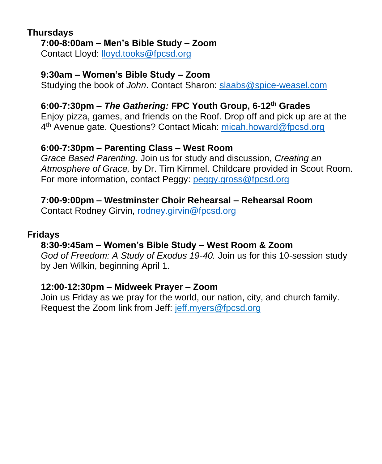#### **Thursdays 7:00-8:00am – Men's Bible Study – Zoom**

Contact Lloyd: [lloyd.tooks@fpcsd.org](mailto:lloyd.tooks@fpcsd.org)

### **9:30am – Women's Bible Study – Zoom**

Studying the book of *John*. Contact Sharon: [slaabs@spice-weasel.com](mailto:slaabs@spice-weasel.com)

## **6:00-7:30pm –** *The Gathering:* **FPC Youth Group, 6-12th Grades**

Enjoy pizza, games, and friends on the Roof. Drop off and pick up are at the 4<sup>th</sup> Avenue gate. Questions? Contact Micah: [micah.howard@fpcsd.org](mailto:micah.howard@fpcsd.org)

### **6:00-7:30pm – Parenting Class – West Room**

*Grace Based Parenting*. Join us for study and discussion, *Creating an Atmosphere of Grace,* by Dr. Tim Kimmel. Childcare provided in Scout Room. For more information, contact Peggy: [peggy.gross@fpcsd.org](mailto:peggy.gross@fpcsd.org)

### **7:00-9:00pm – Westminster Choir Rehearsal – Rehearsal Room**

Contact Rodney Girvin, [rodney.girvin@fpcsd.org](mailto:rodney.girvin@fpcsd.org)

### **Fridays**

# **8:30-9:45am – Women's Bible Study – West Room & Zoom**

*God of Freedom: A Study of Exodus 19-40.* Join us for this 10-session study by Jen Wilkin, beginning April 1.

### **12:00-12:30pm – Midweek Prayer – Zoom**

Join us Friday as we pray for the world, our nation, city, and church family. Request the Zoom link from Jeff: [jeff.myers@fpcsd.org](mailto:jeff.myers@fpcsd.org)